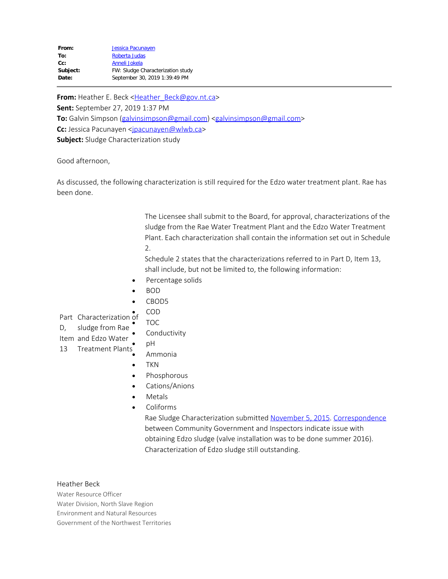| From:    | Jessica Pacunayen                 |
|----------|-----------------------------------|
| To:      | Roberta Judas                     |
| $Cc$ :   | Anneli Jokela                     |
| Subject: | FW: Sludge Characterization study |
| Date:    | September 30, 2019 1:39:49 PM     |
|          |                                   |

**From:** Heather E. Beck <[Heather\\_Beck@gov.nt.ca>](mailto:Heather_Beck@gov.nt.ca) **Sent:** September 27, 2019 1:37 PM **To:** Galvin Simpson [\(galvinsimpson@gmail.com](mailto:galvinsimpson@gmail.com)) [<galvinsimpson@gmail.com](mailto:galvinsimpson@gmail.com)> **Cc:** Jessica Pacunayen [<jpacunayen@wlwb.ca](mailto:jpacunayen@wlwb.ca)> **Subject:** Sludge Characterization study

Good afternoon,

As discussed, the following characterization is still required for the Edzo water treatment plant. Rae has been done.

> The Licensee shall submit to the Board, for approval, characterizations of the sludge from the Rae Water Treatment Plant and the Edzo Water Treatment Plant. Each characterization shall contain the information set out in Schedule 2.

Schedule 2 states that the characterizations referred to in Part D, Item 13, shall include, but not be limited to, the following information:

- Percentage solids
- · BOD
- · CBOD5 · COD

Part Characterization of

D, sludge from Rae · TOC

- **Conductivity** · pH
- Item and Edzo Water 13 Treatment Plants
	- · Ammonia
	- · TKN
	- · Phosphorous
	- Cations/Anions
	- · Metals
	- · Coliforms

Rae Sludge Characterization submitted [November 5, 2015](http://www.mvlwb.ca/Boards/WLWB/Registry/2014/W2014L3-0002/W2014L3-0002%20-%20Behchoko%20-%20Rae%20Water%20Treatment%20Plant%20Sludge%20Characterization%20-%20Nov%205_15.pdf). [Correspondence](http://www.mvlwb.ca/Boards/WLWB/Registry/2014/W2014L3-0002/W2014L3-0002%20-%20Behchoko%20-%20Edzo%20Water%20Treatment%20Plant%20Sludge%20Characterization%20-%20Correspondence%20-%20Dec%2011_15.pdf) between Community Government and Inspectors indicate issue with obtaining Edzo sludge (valve installation was to be done summer 2016). Characterization of Edzo sludge still outstanding.

## Heather Beck

Water Resource Officer Water Division, North Slave Region Environment and Natural Resources Government of the Northwest Territories